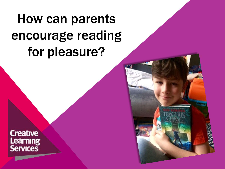# How can parents encourage reading for pleasure?

**Creative** Learning<br>Services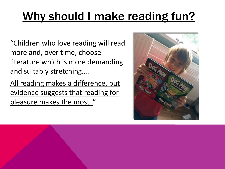"Children who love reading will read more and, over time, choose literature which is more demanding and suitably stretching….

All reading makes a difference, but evidence suggests that reading for pleasure makes the most ."

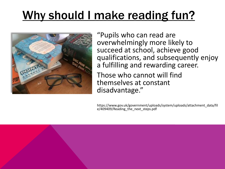

"Pupils who can read are overwhelmingly more likely to succeed at school, achieve good qualifications, and subsequently enjoy a fulfilling and rewarding career.

Those who cannot will find themselves at constant disadvantage."

https://www.gov.uk/government/uploads/system/uploads/attachment\_data/fil e/409409/Reading\_the\_next\_steps.pdf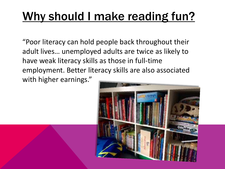"Poor literacy can hold people back throughout their adult lives… unemployed adults are twice as likely to have weak literacy skills as those in full-time employment. Better literacy skills are also associated with higher earnings."

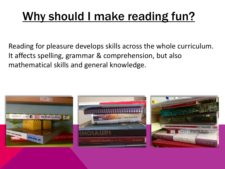Reading for pleasure develops skills across the whole curriculum. It affects spelling, grammar & comprehension, but also mathematical skills and general knowledge.

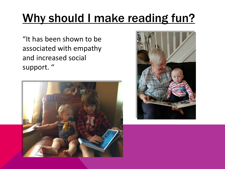"It has been shown to be associated with empathy and increased social support. "



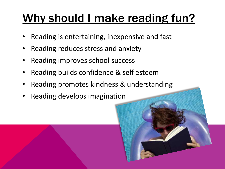- Reading is entertaining, inexpensive and fast
- Reading reduces stress and anxiety
- Reading improves school success
- Reading builds confidence & self esteem
- Reading promotes kindness & understanding
- Reading develops imagination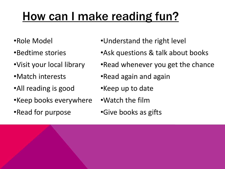## How can I make reading fun?

- •Role Model
- •Bedtime stories
- •Visit your local library
- •Match interests
- •All reading is good
- •Keep books everywhere
- •Read for purpose
- •Understand the right level
- •Ask questions & talk about books
- •Read whenever you get the chance
- •Read again and again
- •Keep up to date
- •Watch the film
- •Give books as gifts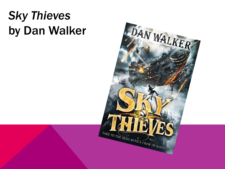## *Sky Thieves* by Dan Walker

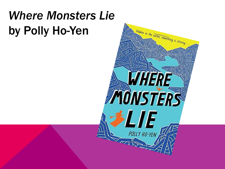## *Where Monsters Lie* by Polly Ho-Yen

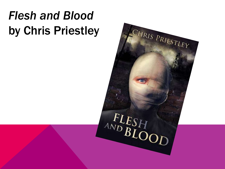## *Flesh and Blood* by Chris Priestley

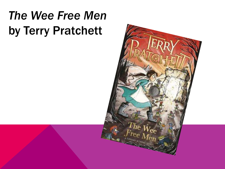## *The Wee Free Men* by Terry Pratchett

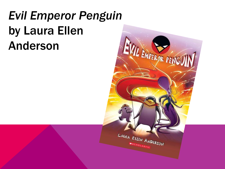## *Evil Emperor Penguin* by Laura Ellen Anderson

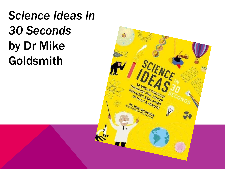*Science Ideas in 30 Seconds* by Dr Mike Goldsmith